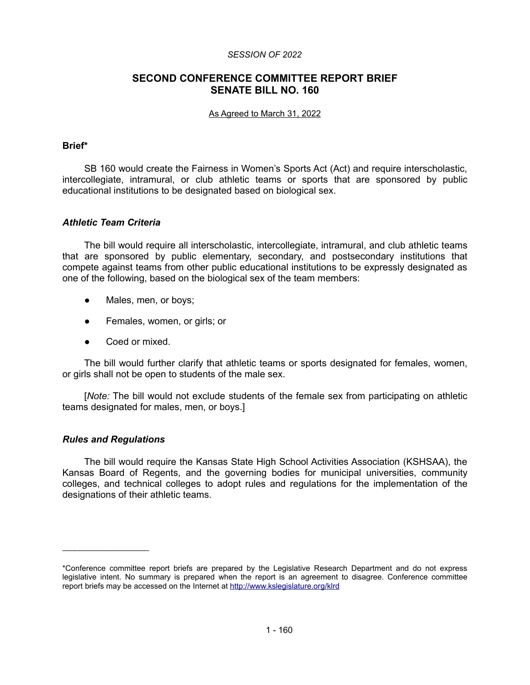#### *SESSION OF 2022*

# **SECOND CONFERENCE COMMITTEE REPORT BRIEF SENATE BILL NO. 160**

#### As Agreed to March 31, 2022

## **Brief\***

SB 160 would create the Fairness in Women's Sports Act (Act) and require interscholastic, intercollegiate, intramural, or club athletic teams or sports that are sponsored by public educational institutions to be designated based on biological sex.

## *Athletic Team Criteria*

The bill would require all interscholastic, intercollegiate, intramural, and club athletic teams that are sponsored by public elementary, secondary, and postsecondary institutions that compete against teams from other public educational institutions to be expressly designated as one of the following, based on the biological sex of the team members:

- Males, men, or boys;
- Females, women, or girls; or
- Coed or mixed.

The bill would further clarify that athletic teams or sports designated for females, women, or girls shall not be open to students of the male sex.

[*Note:* The bill would not exclude students of the female sex from participating on athletic teams designated for males, men, or boys.]

## *Rules and Regulations*

 $\mathcal{L}=\{1,2,3,4,5\}$ 

The bill would require the Kansas State High School Activities Association (KSHSAA), the Kansas Board of Regents, and the governing bodies for municipal universities, community colleges, and technical colleges to adopt rules and regulations for the implementation of the designations of their athletic teams.

<sup>\*</sup>Conference committee report briefs are prepared by the Legislative Research Department and do not express legislative intent. No summary is prepared when the report is an agreement to disagree. Conference committee report briefs may be accessed on the Internet at<http://www.kslegislature.org/klrd>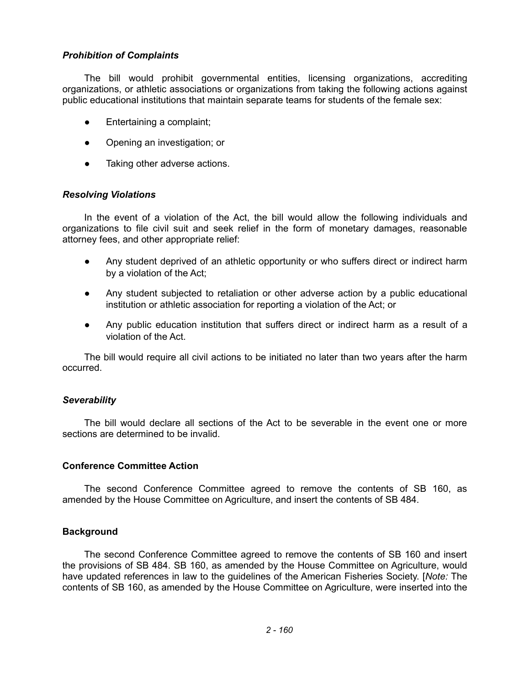## *Prohibition of Complaints*

The bill would prohibit governmental entities, licensing organizations, accrediting organizations, or athletic associations or organizations from taking the following actions against public educational institutions that maintain separate teams for students of the female sex:

- Entertaining a complaint;
- Opening an investigation; or
- Taking other adverse actions.

## *Resolving Violations*

In the event of a violation of the Act, the bill would allow the following individuals and organizations to file civil suit and seek relief in the form of monetary damages, reasonable attorney fees, and other appropriate relief:

- Any student deprived of an athletic opportunity or who suffers direct or indirect harm by a violation of the Act;
- Any student subjected to retaliation or other adverse action by a public educational institution or athletic association for reporting a violation of the Act; or
- Any public education institution that suffers direct or indirect harm as a result of a violation of the Act.

The bill would require all civil actions to be initiated no later than two years after the harm occurred.

## *Severability*

The bill would declare all sections of the Act to be severable in the event one or more sections are determined to be invalid.

## **Conference Committee Action**

The second Conference Committee agreed to remove the contents of SB 160, as amended by the House Committee on Agriculture, and insert the contents of SB 484.

## **Background**

The second Conference Committee agreed to remove the contents of SB 160 and insert the provisions of SB 484. SB 160, as amended by the House Committee on Agriculture, would have updated references in law to the guidelines of the American Fisheries Society. [*Note:* The contents of SB 160, as amended by the House Committee on Agriculture, were inserted into the